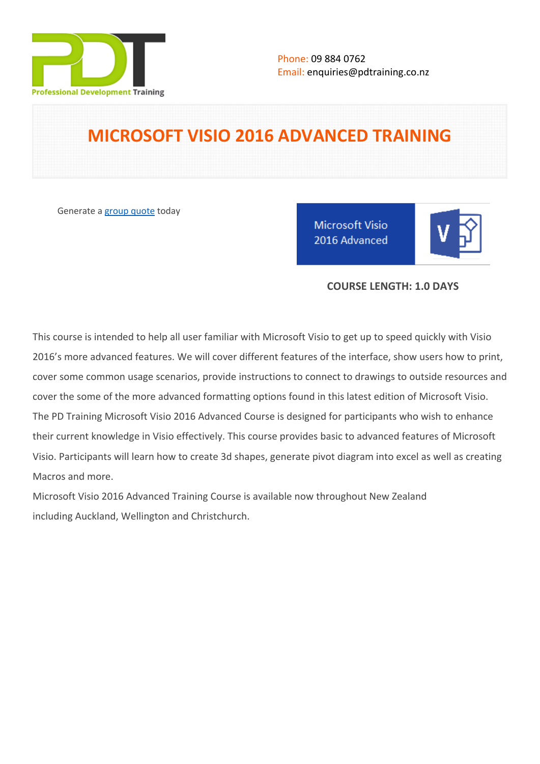

# **MICROSOFT VISIO 2016 ADVANCED TRAINING**

Generate a [group quote](https://pdtraining.co.nz/inhouse-training-quote?cse=MSV16A) today

**Microsoft Visio** 2016 Advanced

## **COURSE LENGTH: 1.0 DAYS**

This course is intended to help all user familiar with Microsoft Visio to get up to speed quickly with Visio 2016's more advanced features. We will cover different features of the interface, show users how to print, cover some common usage scenarios, provide instructions to connect to drawings to outside resources and cover the some of the more advanced formatting options found in this latest edition of Microsoft Visio. The PD Training Microsoft Visio 2016 Advanced Course is designed for participants who wish to enhance their current knowledge in Visio effectively. This course provides basic to advanced features of Microsoft Visio. Participants will learn how to create 3d shapes, generate pivot diagram into excel as well as creating Macros and more.

Microsoft Visio 2016 Advanced Training Course is available now throughout New Zealand including Auckland, Wellington and Christchurch.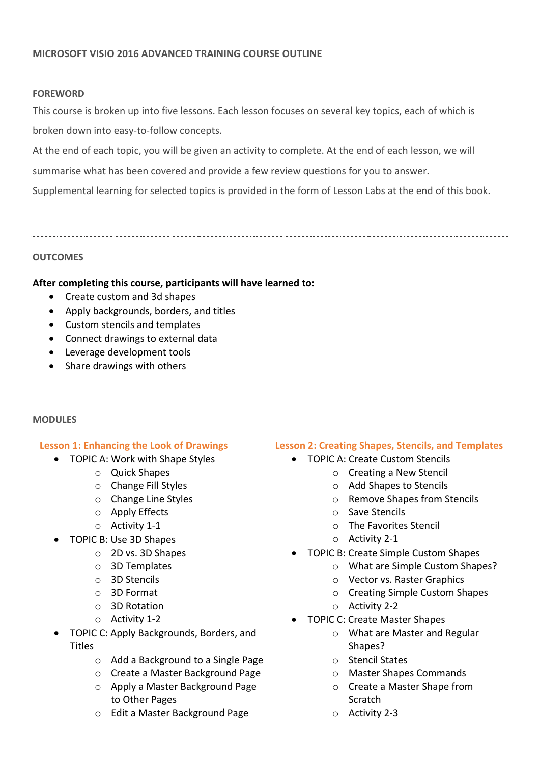## **MICROSOFT VISIO 2016 ADVANCED TRAINING COURSE OUTLINE**

#### **FOREWORD**

This course is broken up into five lessons. Each lesson focuses on several key topics, each of which is broken down into easy-to-follow concepts.

At the end of each topic, you will be given an activity to complete. At the end of each lesson, we will

summarise what has been covered and provide a few review questions for you to answer.

Supplemental learning for selected topics is provided in the form of Lesson Labs at the end of this book.

#### **OUTCOMES**

#### **After completing this course, participants will have learned to:**

- Create custom and 3d shapes
- Apply backgrounds, borders, and titles
- Custom stencils and templates
- Connect drawings to external data
- Leverage development tools
- Share drawings with others

#### **MODULES**

#### **Lesson 1: Enhancing the Look of Drawings**

- TOPIC A: Work with Shape Styles
	- o Quick Shapes
	- o Change Fill Styles
	- o Change Line Styles
	- o Apply Effects
	- o Activity 1-1
	- TOPIC B: Use 3D Shapes
		- o 2D vs. 3D Shapes
		- o 3D Templates
		- o 3D Stencils
		- o 3D Format
		- o 3D Rotation
		- o Activity 1-2
	- TOPIC C: Apply Backgrounds, Borders, and **Titles** 
		- o Add a Background to a Single Page
		- o Create a Master Background Page
		- o Apply a Master Background Page to Other Pages
		- o Edit a Master Background Page

# **Lesson 2: Creating Shapes, Stencils, and Templates**

- TOPIC A: Create Custom Stencils
	- o Creating a New Stencil
	- o Add Shapes to Stencils
	- o Remove Shapes from Stencils
	- o Save Stencils
	- o The Favorites Stencil
	- o Activity 2-1
- TOPIC B: Create Simple Custom Shapes
	- o What are Simple Custom Shapes?
	- o Vector vs. Raster Graphics
	- o Creating Simple Custom Shapes
	- o Activity 2-2
- TOPIC C: Create Master Shapes
	- o What are Master and Regular Shapes?
	- o Stencil States
	- o Master Shapes Commands
	- o Create a Master Shape from Scratch
	- o Activity 2-3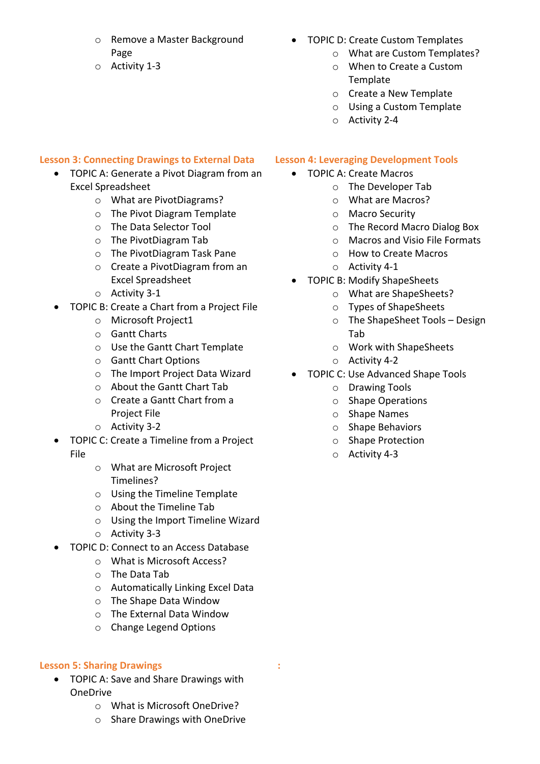- o Remove a Master Background Page
- o Activity 1-3

# TOPIC D: Create Custom Templates

- o What are Custom Templates?
- o When to Create a Custom Template
- o Create a New Template
- o Using a Custom Template
- o Activity 2-4

## **Lesson 3: Connecting Drawings to External Data**

- TOPIC A: Generate a Pivot Diagram from an Excel Spreadsheet
	- o What are PivotDiagrams?
	- o The Pivot Diagram Template
	- o The Data Selector Tool
	- o The PivotDiagram Tab
	- o The PivotDiagram Task Pane
	- o Create a PivotDiagram from an Excel Spreadsheet
	- o Activity 3-1
- TOPIC B: Create a Chart from a Project File
	- o Microsoft Project1
	- o Gantt Charts
	- o Use the Gantt Chart Template
	- o Gantt Chart Options
	- o The Import Project Data Wizard
	- o About the Gantt Chart Tab
	- o Create a Gantt Chart from a Project File
	- o Activity 3-2
- TOPIC C: Create a Timeline from a Project File
	- o What are Microsoft Project Timelines?
	- o Using the Timeline Template
	- o About the Timeline Tab
	- o Using the Import Timeline Wizard
	- o Activity 3-3
- TOPIC D: Connect to an Access Database
	- o What is Microsoft Access?
	- o The Data Tab
	- o Automatically Linking Excel Data
	- o The Shape Data Window
	- o The External Data Window
	- o Change Legend Options

#### **Lesson 5: Sharing Drawings**

- TOPIC A: Save and Share Drawings with OneDrive
	- o What is Microsoft OneDrive?
	- o Share Drawings with OneDrive
- **Lesson 4: Leveraging Development Tools**
	- TOPIC A: Create Macros
		- o The Developer Tab
			- o What are Macros?
			- o Macro Security
			- o The Record Macro Dialog Box
			- o Macros and Visio File Formats
		- o How to Create Macros
		- o Activity 4-1
	- TOPIC B: Modify ShapeSheets
		- o What are ShapeSheets?
		- o Types of ShapeSheets
		- o The ShapeSheet Tools Design Tab
		- o Work with ShapeSheets
		- o Activity 4-2
	- TOPIC C: Use Advanced Shape Tools
		- o Drawing Tools
		- o Shape Operations
		- o Shape Names
		- o Shape Behaviors
		- o Shape Protection
		- o Activity 4-3

 **:**